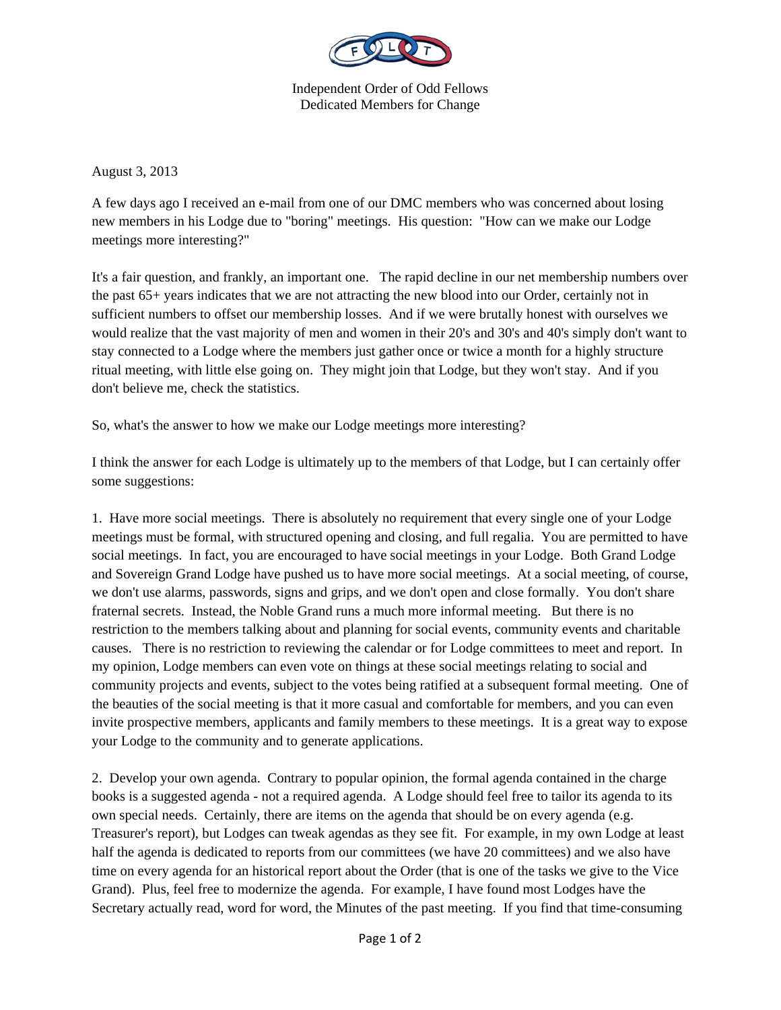

Independent Order of Odd Fellows Dedicated Members for Change

August 3, 2013

A few days ago I received an e-mail from one of our DMC members who was concerned about losing new members in his Lodge due to "boring" meetings. His question: "How can we make our Lodge meetings more interesting?"

It's a fair question, and frankly, an important one. The rapid decline in our net membership numbers over the past 65+ years indicates that we are not attracting the new blood into our Order, certainly not in sufficient numbers to offset our membership losses. And if we were brutally honest with ourselves we would realize that the vast majority of men and women in their 20's and 30's and 40's simply don't want to stay connected to a Lodge where the members just gather once or twice a month for a highly structure ritual meeting, with little else going on. They might join that Lodge, but they won't stay. And if you don't believe me, check the statistics.

So, what's the answer to how we make our Lodge meetings more interesting?

I think the answer for each Lodge is ultimately up to the members of that Lodge, but I can certainly offer some suggestions:

1. Have more social meetings. There is absolutely no requirement that every single one of your Lodge meetings must be formal, with structured opening and closing, and full regalia. You are permitted to have social meetings. In fact, you are encouraged to have social meetings in your Lodge. Both Grand Lodge and Sovereign Grand Lodge have pushed us to have more social meetings. At a social meeting, of course, we don't use alarms, passwords, signs and grips, and we don't open and close formally. You don't share fraternal secrets. Instead, the Noble Grand runs a much more informal meeting. But there is no restriction to the members talking about and planning for social events, community events and charitable causes. There is no restriction to reviewing the calendar or for Lodge committees to meet and report. In my opinion, Lodge members can even vote on things at these social meetings relating to social and community projects and events, subject to the votes being ratified at a subsequent formal meeting. One of the beauties of the social meeting is that it more casual and comfortable for members, and you can even invite prospective members, applicants and family members to these meetings. It is a great way to expose your Lodge to the community and to generate applications.

2. Develop your own agenda. Contrary to popular opinion, the formal agenda contained in the charge books is a suggested agenda - not a required agenda. A Lodge should feel free to tailor its agenda to its own special needs. Certainly, there are items on the agenda that should be on every agenda (e.g. Treasurer's report), but Lodges can tweak agendas as they see fit. For example, in my own Lodge at least half the agenda is dedicated to reports from our committees (we have 20 committees) and we also have time on every agenda for an historical report about the Order (that is one of the tasks we give to the Vice Grand). Plus, feel free to modernize the agenda. For example, I have found most Lodges have the Secretary actually read, word for word, the Minutes of the past meeting. If you find that time-consuming